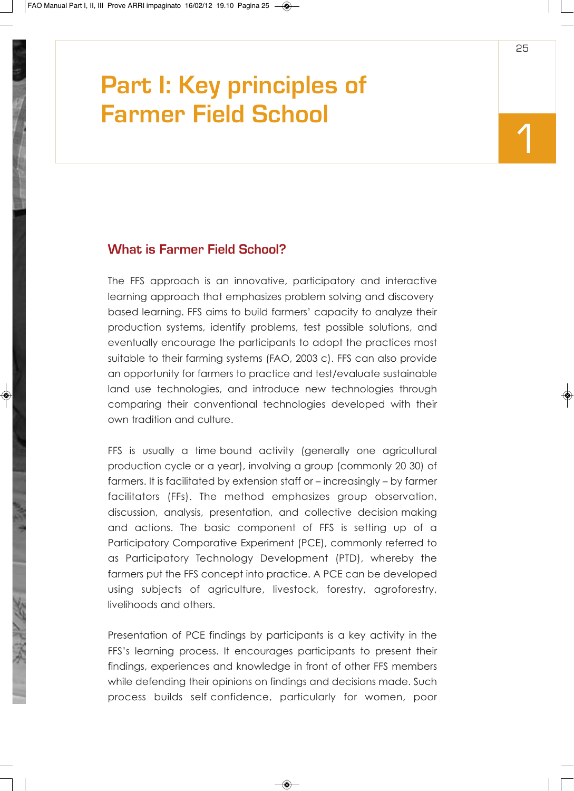# **Part I: Key principles of Farmer Field School**

# **What is Farmer Field School?**

The FFS approach is an innovative, participatory and interactive learning approach that emphasizes problem solving and discovery based learning. FFS aims to build farmers' capacity to analyze their production systems, identify problems, test possible solutions, and eventually encourage the participants to adopt the practices most suitable to their farming systems (FAO, 2003 c). FFS can also provide an opportunity for farmers to practice and test/evaluate sustainable land use technologies, and introduce new technologies through comparing their conventional technologies developed with their own tradition and culture.

FFS is usually a time bound activity (generally one agricultural production cycle or a year), involving a group (commonly 20 30) of farmers. It is facilitated by extension staff or – increasingly – by farmer facilitators (FFs). The method emphasizes group observation, discussion, analysis, presentation, and collective decision making and actions. The basic component of FFS is setting up of a Participatory Comparative Experiment (PCE), commonly referred to as Participatory Technology Development (PTD), whereby the farmers put the FFS concept into practice. A PCE can be developed using subjects of agriculture, livestock, forestry, agroforestry, livelihoods and others.

Presentation of PCE findings by participants is a key activity in the FFS's learning process. It encourages participants to present their findings, experiences and knowledge in front of other FFS members while defending their opinions on findings and decisions made. Such process builds self confidence, particularly for women, poor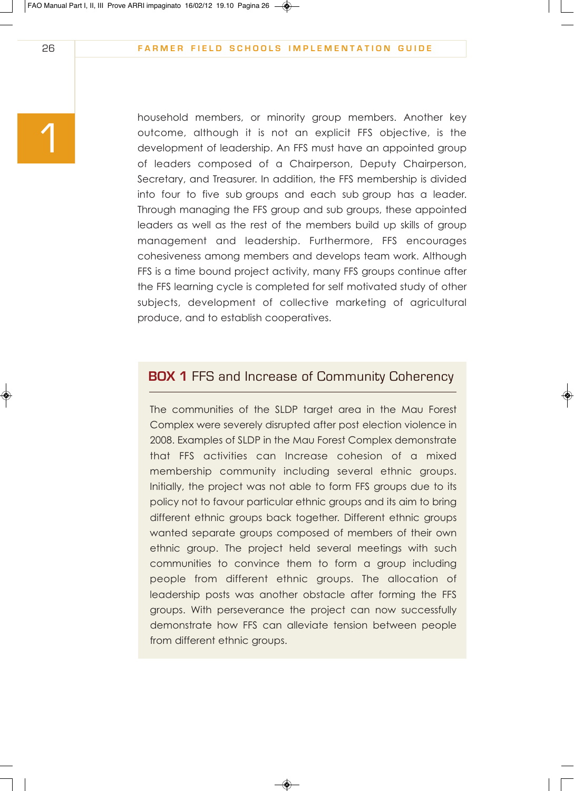household members, or minority group members. Another key outcome, although it is not an explicit FFS objective, is the development of leadership. An FFS must have an appointed group of leaders composed of a Chairperson, Deputy Chairperson, Secretary, and Treasurer. In addition, the FFS membership is divided into four to five sub groups and each sub group has a leader. Through managing the FFS group and sub groups, these appointed leaders as well as the rest of the members build up skills of group management and leadership. Furthermore, FFS encourages cohesiveness among members and develops team work. Although FFS is a time bound project activity, many FFS groups continue after the FFS learning cycle is completed for self motivated study of other subjects, development of collective marketing of agricultural produce, and to establish cooperatives.

# **BOX 1 FFS and Increase of Community Coherency**

The communities of the SLDP target area in the Mau Forest Complex were severely disrupted after post election violence in 2008. Examples of SLDP in the Mau Forest Complex demonstrate that FFS activities can Increase cohesion of a mixed membership community including several ethnic groups. Initially, the project was not able to form FFS groups due to its policy not to favour particular ethnic groups and its aim to bring different ethnic groups back together. Different ethnic groups wanted separate groups composed of members of their own ethnic group. The project held several meetings with such communities to convince them to form a group including people from different ethnic groups. The allocation of leadership posts was another obstacle after forming the FFS groups. With perseverance the project can now successfully demonstrate how FFS can alleviate tension between people from different ethnic groups.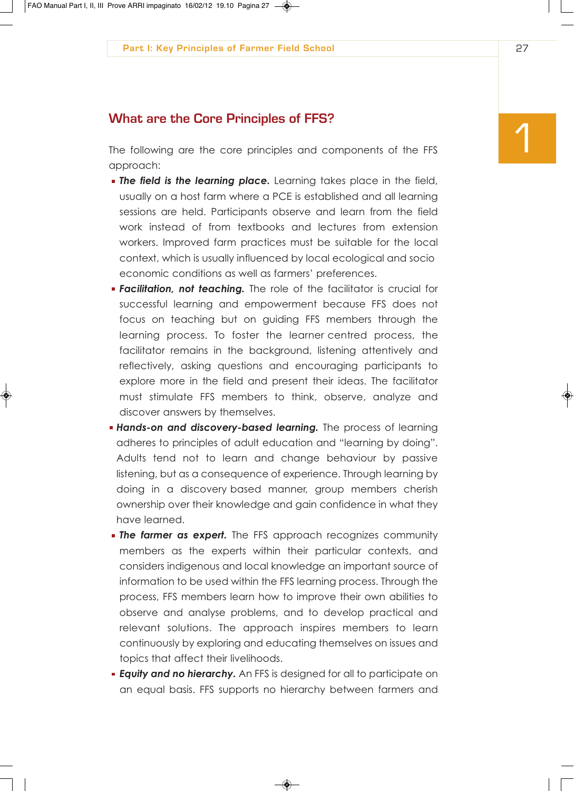**1 What are the Core Principles of FFS?**<br>The following are the core principles and components of the FFS approach:

- *The field is the learning place.* Learning takes place in the field, usually on a host farm where a PCE is established and all learning sessions are held. Participants observe and learn from the field work instead of from textbooks and lectures from extension workers. Improved farm practices must be suitable for the local context, which is usually influenced by local ecological and socio economic conditions as well as farmers' preferences.
- *Facilitation, not teaching.* The role of the facilitator is crucial for successful learning and empowerment because FFS does not focus on teaching but on guiding FFS members through the learning process. To foster the learner centred process, the facilitator remains in the background, listening attentively and reflectively, asking questions and encouraging participants to explore more in the field and present their ideas. The facilitator must stimulate FFS members to think, observe, analyze and discover answers by themselves.
- **Hands-on and discovery-based learning.** The process of learning adheres to principles of adult education and "learning by doing". Adults tend not to learn and change behaviour by passive listening, but as a consequence of experience. Through learning by doing in a discovery based manner, group members cherish ownership over their knowledge and gain confidence in what they have learned.
- **The farmer as expert.** The FFS approach recognizes community members as the experts within their particular contexts, and considers indigenous and local knowledge an important source of information to be used within the FFS learning process. Through the process, FFS members learn how to improve their own abilities to observe and analyse problems, and to develop practical and relevant solutions. The approach inspires members to learn continuously by exploring and educating themselves on issues and topics that affect their livelihoods.
- **Equity and no hierarchy.** An FFS is designed for all to participate on an equal basis. FFS supports no hierarchy between farmers and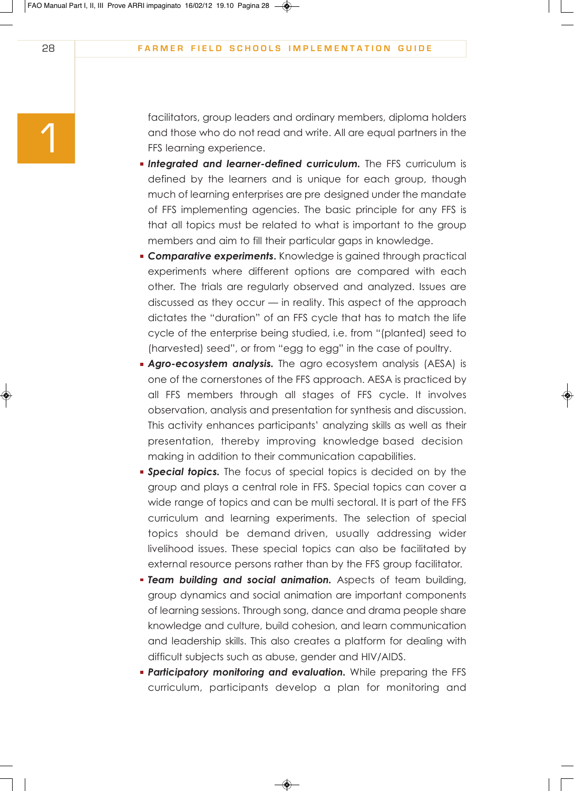facilitators, group leaders and ordinary members, diploma holders and those who do not read and write. All are equal partners in the FFS learning experience.

- **Integrated and learner-defined curriculum.** The FFS curriculum is defined by the learners and is unique for each group, though much of learning enterprises are pre designed under the mandate of FFS implementing agencies. The basic principle for any FFS is that all topics must be related to what is important to the group members and aim to fill their particular gaps in knowledge.
- **Comparative experiments.** Knowledge is gained through practical experiments where different options are compared with each other. The trials are regularly observed and analyzed. Issues are discussed as they occur — in reality. This aspect of the approach dictates the "duration" of an FFS cycle that has to match the life cycle of the enterprise being studied, i.e. from "(planted) seed to (harvested) seed", or from "egg to egg" in the case of poultry.
- **Agro-ecosystem analysis.** The agro ecosystem analysis (AESA) is one of the cornerstones of the FFS approach. AESA is practiced by all FFS members through all stages of FFS cycle. It involves observation, analysis and presentation for synthesis and discussion. This activity enhances participants' analyzing skills as well as their presentation, thereby improving knowledge based decision making in addition to their communication capabilities.
- **Special topics.** The focus of special topics is decided on by the group and plays a central role in FFS. Special topics can cover a wide range of topics and can be multi sectoral. It is part of the FFS curriculum and learning experiments. The selection of special topics should be demand driven, usually addressing wider livelihood issues. These special topics can also be facilitated by external resource persons rather than by the FFS group facilitator.
- *Team building and social animation.* Aspects of team building, group dynamics and social animation are important components of learning sessions. Through song, dance and drama people share knowledge and culture, build cohesion, and learn communication and leadership skills. This also creates a platform for dealing with difficult subjects such as abuse, gender and HIV/AIDS.
- **Participatory monitoring and evaluation.** While preparing the FFS curriculum, participants develop a plan for monitoring and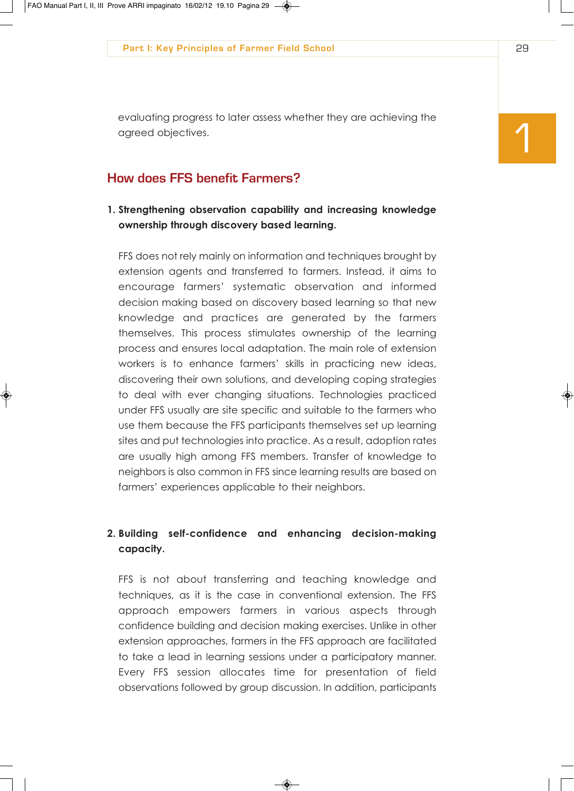evaluating progress to later assess whether they are achieving the agreed objectives.

# **How does FFS benefit Farmers?**

**1. Strengthening observation capability and increasing knowledge ownership through discovery based learning.**

FFS does not rely mainly on information and techniques brought by extension agents and transferred to farmers. Instead, it aims to encourage farmers' systematic observation and informed decision making based on discovery based learning so that new knowledge and practices are generated by the farmers themselves. This process stimulates ownership of the learning process and ensures local adaptation. The main role of extension workers is to enhance farmers' skills in practicing new ideas, discovering their own solutions, and developing coping strategies to deal with ever changing situations. Technologies practiced under FFS usually are site specific and suitable to the farmers who use them because the FFS participants themselves set up learning sites and put technologies into practice. As a result, adoption rates are usually high among FFS members. Transfer of knowledge to neighbors is also common in FFS since learning results are based on farmers' experiences applicable to their neighbors.

# **2. Building self-confidence and enhancing decision-making capacity.**

FFS is not about transferring and teaching knowledge and techniques, as it is the case in conventional extension. The FFS approach empowers farmers in various aspects through confidence building and decision making exercises. Unlike in other extension approaches, farmers in the FFS approach are facilitated to take a lead in learning sessions under a participatory manner. Every FFS session allocates time for presentation of field observations followed by group discussion. In addition, participants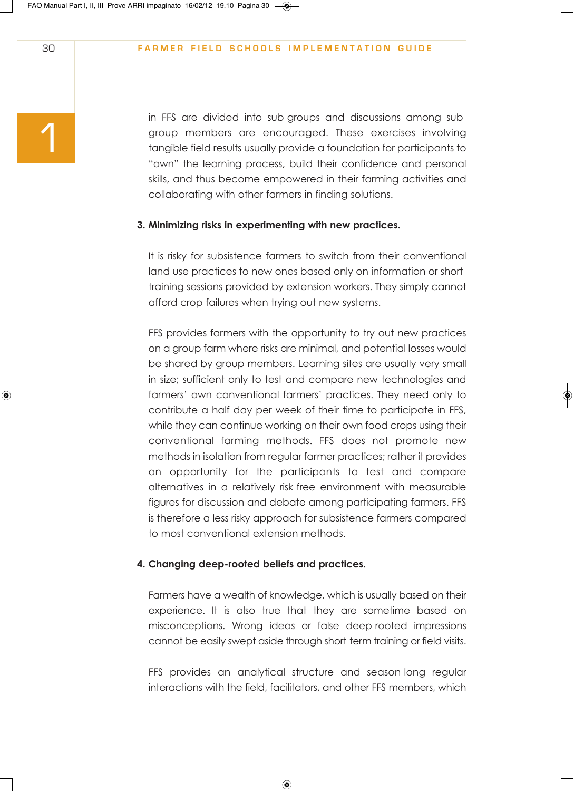in FFS are divided into sub groups and discussions among sub group members are encouraged. These exercises involving tangible field results usually provide a foundation for participants to "own" the learning process, build their confidence and personal skills, and thus become empowered in their farming activities and collaborating with other farmers in finding solutions.

#### **3. Minimizing risks in experimenting with new practices.**

It is risky for subsistence farmers to switch from their conventional land use practices to new ones based only on information or short training sessions provided by extension workers. They simply cannot afford crop failures when trying out new systems.

FFS provides farmers with the opportunity to try out new practices on a group farm where risks are minimal, and potential losses would be shared by group members. Learning sites are usually very small in size; sufficient only to test and compare new technologies and farmers' own conventional farmers' practices. They need only to contribute a half day per week of their time to participate in FFS, while they can continue working on their own food crops using their conventional farming methods. FFS does not promote new methods in isolation from regular farmer practices; rather it provides an opportunity for the participants to test and compare alternatives in a relatively risk free environment with measurable figures for discussion and debate among participating farmers. FFS is therefore a less risky approach for subsistence farmers compared to most conventional extension methods.

#### **4. Changing deep-rooted beliefs and practices.**

Farmers have a wealth of knowledge, which is usually based on their experience. It is also true that they are sometime based on misconceptions. Wrong ideas or false deep rooted impressions cannot be easily swept aside through short term training or field visits.

FFS provides an analytical structure and season long regular interactions with the field, facilitators, and other FFS members, which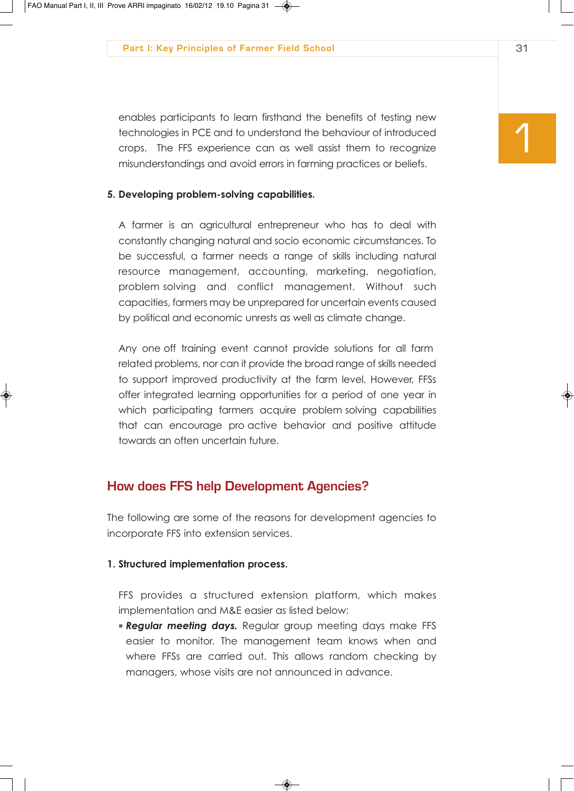enables participants to learn firsthand the benefits of testing new technologies in PCE and to understand the behaviour of introduced crops. The FFS experience can as well assist them to recognize misunderstandings and avoid errors in farming practices or beliefs.

#### **5. Developing problem-solving capabilities.**

A farmer is an agricultural entrepreneur who has to deal with constantly changing natural and socio economic circumstances. To be successful, a farmer needs a range of skills including natural resource management, accounting, marketing, negotiation, problem solving and conflict management. Without such capacities, farmers may be unprepared for uncertain events caused by political and economic unrests as well as climate change.

Any one off training event cannot provide solutions for all farm related problems, nor can it provide the broad range of skills needed to support improved productivity at the farm level. However, FFSs offer integrated learning opportunities for a period of one year in which participating farmers acquire problem solving capabilities that can encourage pro active behavior and positive attitude towards an often uncertain future.

# **How does FFS help Development Agencies?**

The following are some of the reasons for development agencies to incorporate FFS into extension services.

#### **1. Structured implementation process.**

FFS provides a structured extension platform, which makes implementation and M&E easier as listed below:

*Regular meeting days.* Regular group meeting days make FFS easier to monitor. The management team knows when and where FFSs are carried out. This allows random checking by managers, whose visits are not announced in advance.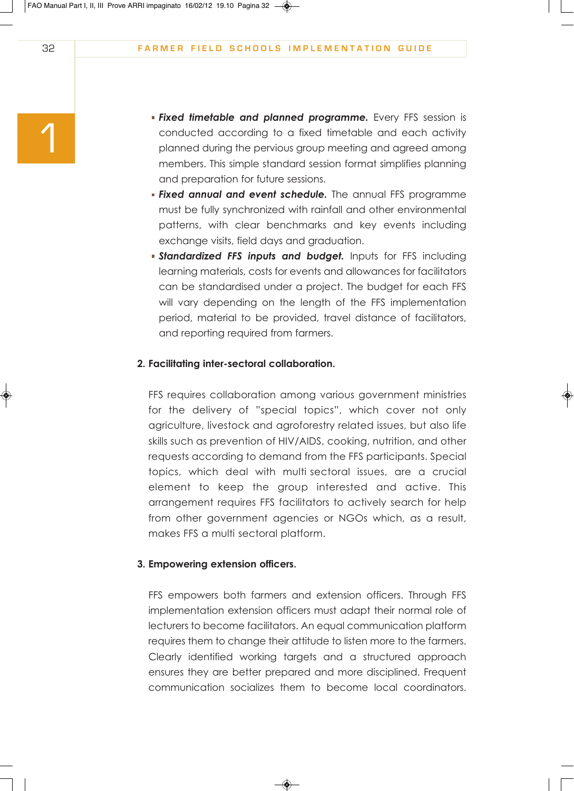- *Fixed timetable and planned programme.* Every FFS session is conducted according to a fixed timetable and each activity planned during the pervious group meeting and agreed among members. This simple standard session format simplifies planning and preparation for future sessions.
- *Fixed annual and event schedule.* The annual FFS programme must be fully synchronized with rainfall and other environmental patterns, with clear benchmarks and key events including exchange visits, field days and graduation.
- **Standardized FFS inputs and budget.** Inputs for FFS including learning materials, costs for events and allowances for facilitators can be standardised under a project. The budget for each FFS will vary depending on the length of the FFS implementation period, material to be provided, travel distance of facilitators, and reporting required from farmers.

#### **2. Facilitating inter-sectoral collaboration.**

FFS requires collaboration among various government ministries for the delivery of "special topics", which cover not only agriculture, livestock and agroforestry related issues, but also life skills such as prevention of HIV/AIDS, cooking, nutrition, and other requests according to demand from the FFS participants. Special topics, which deal with multi sectoral issues, are a crucial element to keep the group interested and active. This arrangement requires FFS facilitators to actively search for help from other government agencies or NGOs which, as a result, makes FFS a multi sectoral platform.

#### **3. Empowering extension officers.**

FFS empowers both farmers and extension officers. Through FFS implementation extension officers must adapt their normal role of lecturers to become facilitators. An equal communication platform requires them to change their attitude to listen more to the farmers. Clearly identified working targets and a structured approach ensures they are better prepared and more disciplined. Frequent communication socializes them to become local coordinators.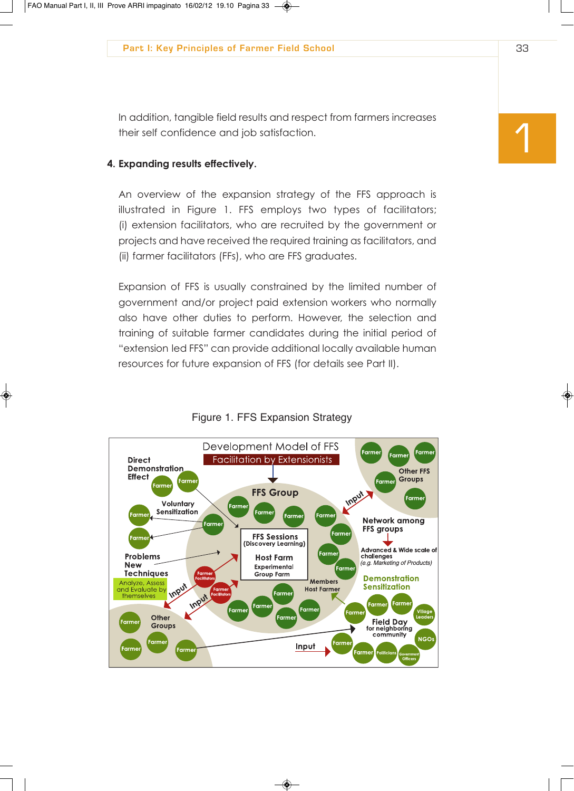In addition, tangible field results and respect from farmers increases their self confidence and job satisfaction.

#### **4. Expanding results effectively.**

An overview of the expansion strategy of the FFS approach is illustrated in Figure 1. FFS employs two types of facilitators; (i) extension facilitators, who are recruited by the government or projects and have received the required training as facilitators, and (ii) farmer facilitators (FFs), who are FFS graduates.

Expansion of FFS is usually constrained by the limited number of government and/or project paid extension workers who normally also have other duties to perform. However, the selection and training of suitable farmer candidates during the initial period of "extension led FFS" can provide additional locally available human resources for future expansion of FFS (for details see Part II).



### Figure 1. FFS Expansion Strategy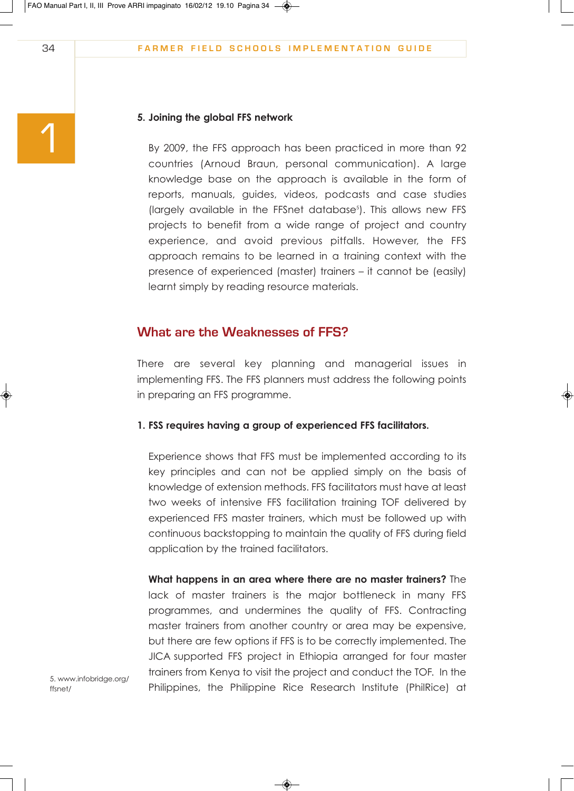#### **5. Joining the global FFS network**

By 2009, the FFS approach has been practiced in more than 92 countries (Arnoud Braun, personal communication). A large knowledge base on the approach is available in the form of reports, manuals, guides, videos, podcasts and case studies (largely available in the FFSnet database<sup>5</sup>). This allows new FFS projects to benefit from a wide range of project and country experience, and avoid previous pitfalls. However, the FFS approach remains to be learned in a training context with the presence of experienced (master) trainers – it cannot be (easily) learnt simply by reading resource materials.

# **What are the Weaknesses of FFS?**

There are several key planning and managerial issues in implementing FFS. The FFS planners must address the following points in preparing an FFS programme.

#### **1. FSS requires having a group of experienced FFS facilitators.**

Experience shows that FFS must be implemented according to its key principles and can not be applied simply on the basis of knowledge of extension methods. FFS facilitators must have at least two weeks of intensive FFS facilitation training TOF delivered by experienced FFS master trainers, which must be followed up with continuous backstopping to maintain the quality of FFS during field application by the trained facilitators.

**What happens in an area where there are no master trainers?** The lack of master trainers is the major bottleneck in many FFS programmes, and undermines the quality of FFS. Contracting master trainers from another country or area may be expensive, but there are few options if FFS is to be correctly implemented. The JICA supported FFS project in Ethiopia arranged for four master trainers from Kenya to visit the project and conduct the TOF. In the Philippines, the Philippine Rice Research Institute (PhilRice) at

1

5. www.infobridge.org/ ffsnet/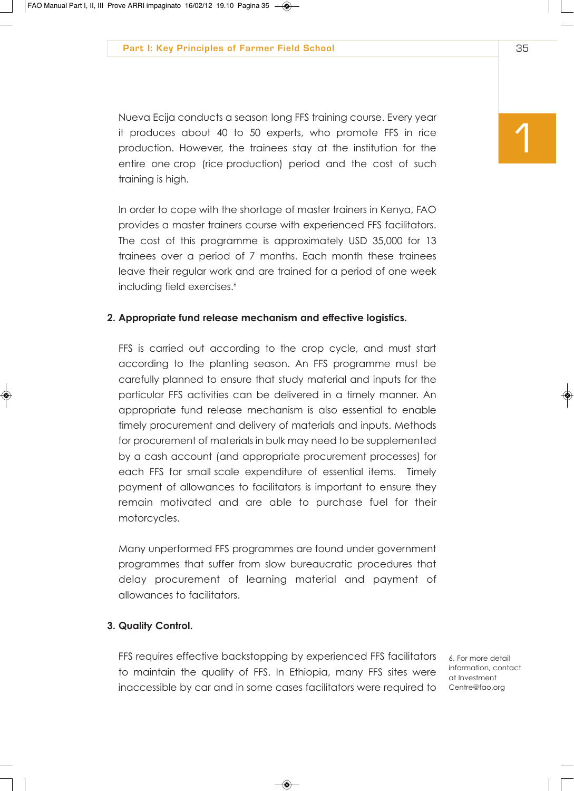Nueva Ecija conducts a season long FFS training course. Every year it produces about 40 to 50 experts, who promote FFS in rice production. However, the trainees stay at the institution for the entire one crop (rice production) period and the cost of such training is high.

In order to cope with the shortage of master trainers in Kenya, FAO provides a master trainers course with experienced FFS facilitators. The cost of this programme is approximately USD 35,000 for 13 trainees over a period of 7 months. Each month these trainees leave their regular work and are trained for a period of one week including field exercises.<sup>6</sup>

#### **2. Appropriate fund release mechanism and effective logistics.**

FFS is carried out according to the crop cycle, and must start according to the planting season. An FFS programme must be carefully planned to ensure that study material and inputs for the particular FFS activities can be delivered in a timely manner. An appropriate fund release mechanism is also essential to enable timely procurement and delivery of materials and inputs. Methods for procurement of materials in bulk may need to be supplemented by a cash account (and appropriate procurement processes) for each FFS for small scale expenditure of essential items. Timely payment of allowances to facilitators is important to ensure they remain motivated and are able to purchase fuel for their motorcycles.

Many unperformed FFS programmes are found under government programmes that suffer from slow bureaucratic procedures that delay procurement of learning material and payment of allowances to facilitators.

#### **3. Quality Control.**

FFS requires effective backstopping by experienced FFS facilitators to maintain the quality of FFS. In Ethiopia, many FFS sites were inaccessible by car and in some cases facilitators were required to

6. For more detail information, contact at Investment Centre@fao.org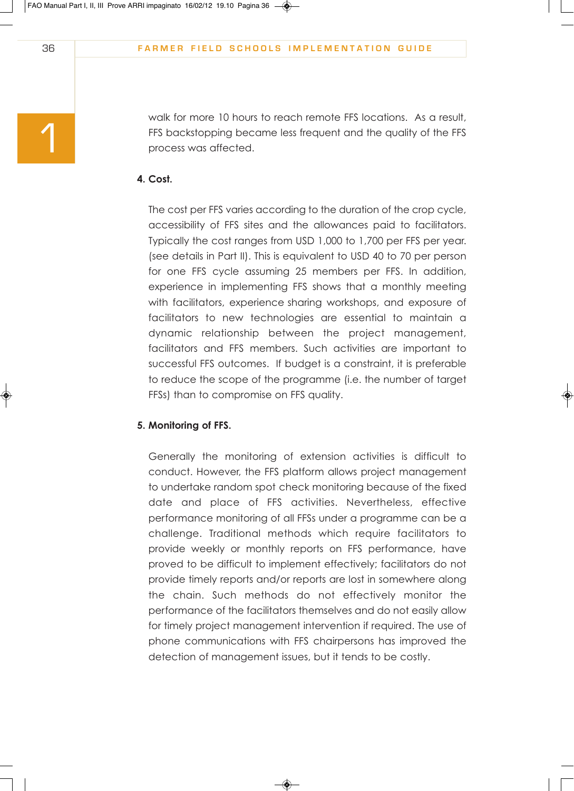walk for more 10 hours to reach remote FFS locations. As a result, FFS backstopping became less frequent and the quality of the FFS process was affected.

## **4. Cost.**

The cost per FFS varies according to the duration of the crop cycle, accessibility of FFS sites and the allowances paid to facilitators. Typically the cost ranges from USD 1,000 to 1,700 per FFS per year. (see details in Part II). This is equivalent to USD 40 to 70 per person for one FFS cycle assuming 25 members per FFS. In addition, experience in implementing FFS shows that a monthly meeting with facilitators, experience sharing workshops, and exposure of facilitators to new technologies are essential to maintain a dynamic relationship between the project management, facilitators and FFS members. Such activities are important to successful FFS outcomes. If budget is a constraint, it is preferable to reduce the scope of the programme (i.e. the number of target FFSs) than to compromise on FFS quality.

#### **5. Monitoring of FFS.**

Generally the monitoring of extension activities is difficult to conduct. However, the FFS platform allows project management to undertake random spot check monitoring because of the fixed date and place of FFS activities. Nevertheless, effective performance monitoring of all FFSs under a programme can be a challenge. Traditional methods which require facilitators to provide weekly or monthly reports on FFS performance, have proved to be difficult to implement effectively; facilitators do not provide timely reports and/or reports are lost in somewhere along the chain. Such methods do not effectively monitor the performance of the facilitators themselves and do not easily allow for timely project management intervention if required. The use of phone communications with FFS chairpersons has improved the detection of management issues, but it tends to be costly.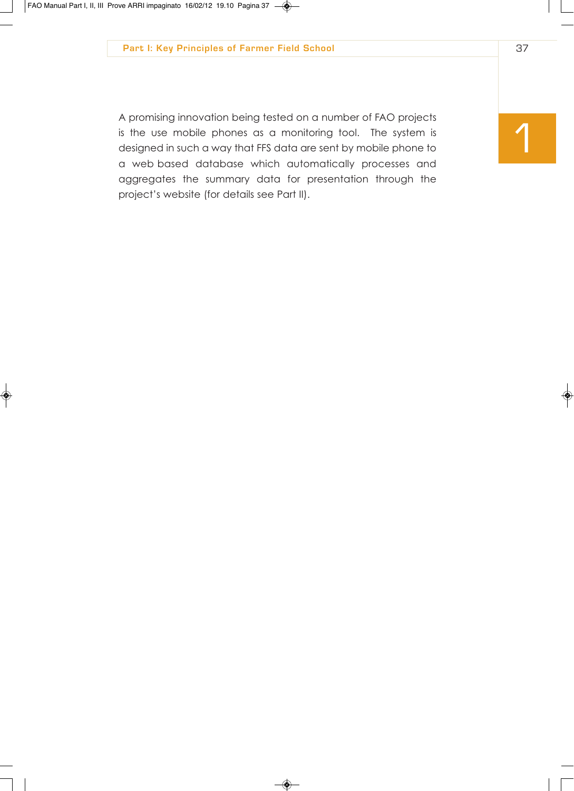A promising innovation being tested on a number of FAO projects is the use mobile phones as a monitoring tool. The system is designed in such a way that FFS data are sent by mobile phone to a web based database which automatically processes and aggregates the summary data for presentation through the project's website (for details see Part II).